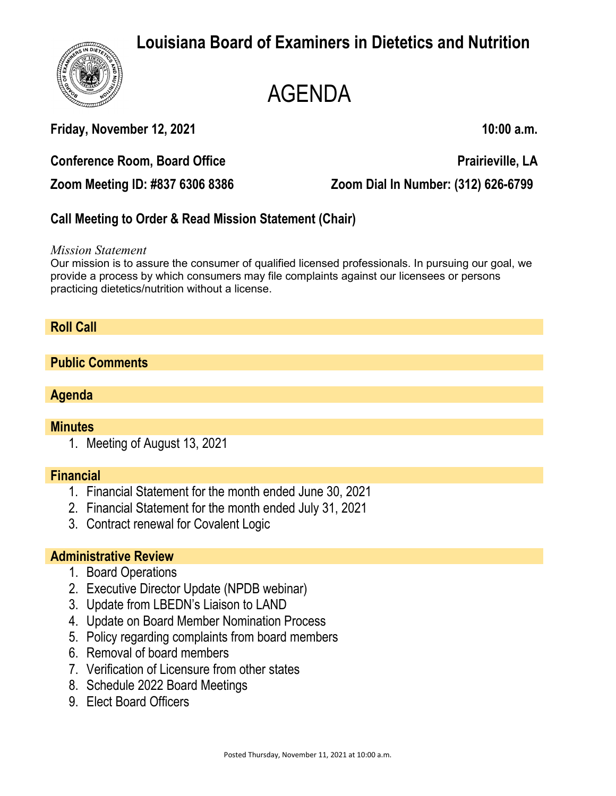

# AGENDA

**Friday, November 12, 2021 10:00 a.m.**

**Conference Room, Board Office**  Prairieville, LA

**Zoom Meeting ID: #837 6306 8386 Zoom Dial In Number: (312) 626-6799**

# **Call Meeting to Order & Read Mission Statement (Chair)**

*Mission Statement*

Our mission is to assure the consumer of qualified licensed professionals. In pursuing our goal, we provide a process by which consumers may file complaints against our licensees or persons practicing dietetics/nutrition without a license.

## **Roll Call**

#### **Public Comments**

#### **Agenda**

#### **Minutes**

1. Meeting of August 13, 2021

#### **Financial**

- 1. Financial Statement for the month ended June 30, 2021
- 2. Financial Statement for the month ended July 31, 2021
- 3. Contract renewal for Covalent Logic

#### **Administrative Review**

- 1. Board Operations
- 2. Executive Director Update (NPDB webinar)
- 3. Update from LBEDN's Liaison to LAND
- 4. Update on Board Member Nomination Process
- 5. Policy regarding complaints from board members
- 6. Removal of board members
- 7. Verification of Licensure from other states
- 8. Schedule 2022 Board Meetings
- 9. Elect Board Officers